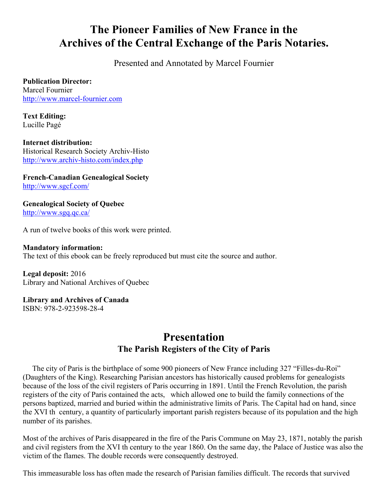# **The Pioneer Families of New France in the Archives of the Central Exchange of the Paris Notaries.**

Presented and Annotated by Marcel Fournier

**Publication Director:** Marcel Fournier http://www.marcel-fournier.com

**Text Editing:** Lucille Pagé

**Internet distribution:** Historical Research Society Archiv-Histo http://www.archiv-histo.com/index.php

**French-Canadian Genealogical Society** http://www.sgcf.com/

**Genealogical Society of Quebec** http://www.sgq.qc.ca/

A run of twelve books of this work were printed.

## **Mandatory information:** The text of this ebook can be freely reproduced but must cite the source and author.

**Legal deposit:** 2016 Library and National Archives of Quebec

#### **Library and Archives of Canada** ISBN: 978-2-923598-28-4

# **Presentation The Parish Registers of the City of Paris**

 The city of Paris is the birthplace of some 900 pioneers of New France including 327 "Filles-du-Roi" (Daughters of the King). Researching Parisian ancestors has historically caused problems for genealogists because of the loss of the civil registers of Paris occurring in 1891. Until the French Revolution, the parish registers of the city of Paris contained the acts, which allowed one to build the family connections of the persons baptized, married and buried within the administrative limits of Paris. The Capital had on hand, since the XVI th century, a quantity of particularly important parish registers because of its population and the high number of its parishes.

Most of the archives of Paris disappeared in the fire of the Paris Commune on May 23, 1871, notably the parish and civil registers from the XVI th century to the year 1860. On the same day, the Palace of Justice was also the victim of the flames. The double records were consequently destroyed.

This immeasurable loss has often made the research of Parisian families difficult. The records that survived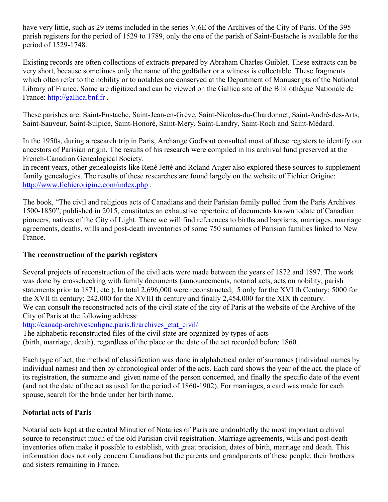have very little, such as 29 items included in the series V.6E of the Archives of the City of Paris. Of the 395 parish registers for the period of 1529 to 1789, only the one of the parish of Saint-Eustache is available for the period of 1529-1748.

Existing records are often collections of extracts prepared by Abraham Charles Guiblet. These extracts can be very short, because sometimes only the name of the godfather or a witness is collectable. These fragments which often refer to the nobility or to notables are conserved at the Department of Manuscripts of the National Library of France. Some are digitized and can be viewed on the Gallica site of the Bibliothèque Nationale de France: http://gallica.bnf.fr.

These parishes are: Saint-Eustache, Saint-Jean-en-Grève, Saint-Nicolas-du-Chardonnet, Saint-André-des-Arts, Saint-Sauveur, Saint-Sulpice, Saint-Honoré, Saint-Mery, Saint-Landry, Saint-Roch and Saint-Médard.

In the 1950s, during a research trip in Paris, Archange Godbout consulted most of these registers to identify our ancestors of Parisian origin. The results of his research were compiled in his archival fund preserved at the French-Canadian Genealogical Society.

In recent years, other genealogists like René Jetté and Roland Auger also explored these sources to supplement family genealogies. The results of these researches are found largely on the website of Fichier Origine: http://www.fichierorigine.com/index.php .

The book, "The civil and religious acts of Canadians and their Parisian family pulled from the Paris Archives 1500-1850", published in 2015, constitutes an exhaustive repertoire of documents known todate of Canadian pioneers, natives of the City of Light. There we will find references to births and baptisms, marriages, marriage agreements, deaths, wills and post-death inventories of some 750 surnames of Parisian families linked to New France.

#### **The reconstruction of the parish registers**

Several projects of reconstruction of the civil acts were made between the years of 1872 and 1897. The work was done by crosschecking with family documents (announcements, notarial acts, acts on nobility, parish statements prior to 1871, etc.). In total 2,696,000 were reconstructed; 5 only for the XVI th Century; 5000 for the XVII th century; 242,000 for the XVIII th century and finally 2,454,000 for the XIX th century. We can consult the reconstructed acts of the civil state of the city of Paris at the website of the Archive of the City of Paris at the following address:

http://canadp-archivesenligne.paris.fr/archives\_etat\_civil/

The alphabetic reconstructed files of the civil state are organized by types of acts (birth, marriage, death), regardless of the place or the date of the act recorded before 1860.

Each type of act, the method of classification was done in alphabetical order of surnames (individual names by individual names) and then by chronological order of the acts. Each card shows the year of the act, the place of its registration, the surname and given name of the person concerned, and finally the specific date of the event (and not the date of the act as used for the period of 1860-1902). For marriages, a card was made for each spouse, search for the bride under her birth name.

#### **Notarial acts of Paris**

Notarial acts kept at the central Minutier of Notaries of Paris are undoubtedly the most important archival source to reconstruct much of the old Parisian civil registration. Marriage agreements, wills and post-death inventories often make it possible to establish, with great precision, dates of birth, marriage and death. This information does not only concern Canadians but the parents and grandparents of these people, their brothers and sisters remaining in France.